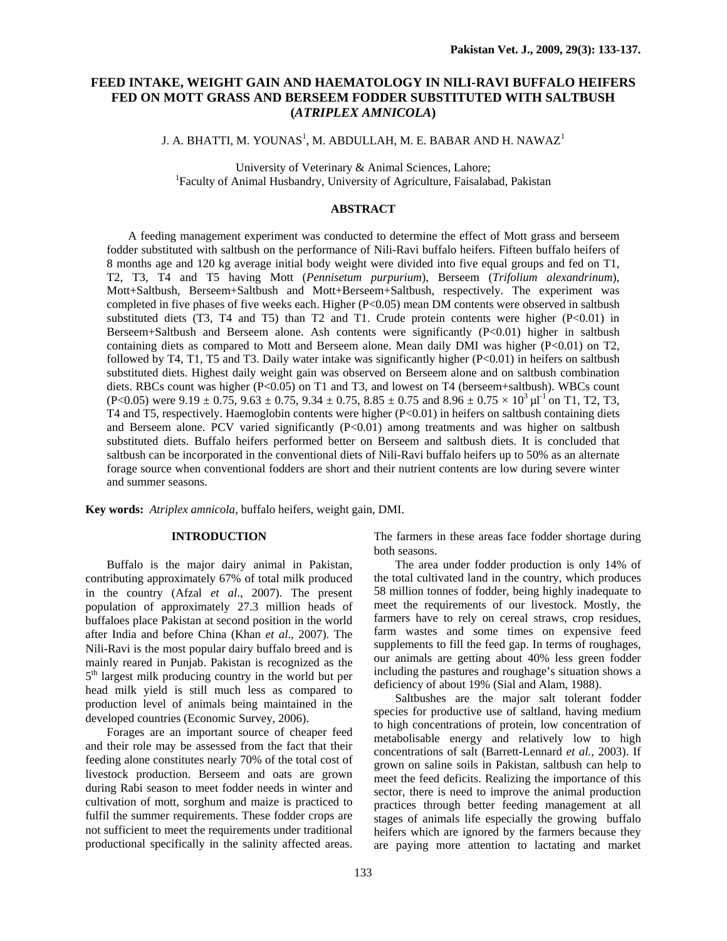# **FEED INTAKE, WEIGHT GAIN AND HAEMATOLOGY IN NILI-RAVI BUFFALO HEIFERS FED ON MOTT GRASS AND BERSEEM FODDER SUBSTITUTED WITH SALTBUSH (***ATRIPLEX AMNICOLA***)**

J. A. BHATTI, M. YOUNAS $^{\rm l}$ , M. ABDULLAH, M. E. BABAR AND H. NAWAZ $^{\rm l}$ 

University of Veterinary & Animal Sciences, Lahore; 1 <sup>1</sup>Faculty of Animal Husbandry, University of Agriculture, Faisalabad, Pakistan

## **ABSTRACT**

A feeding management experiment was conducted to determine the effect of Mott grass and berseem fodder substituted with saltbush on the performance of Nili-Ravi buffalo heifers. Fifteen buffalo heifers of 8 months age and 120 kg average initial body weight were divided into five equal groups and fed on T1, T2, T3, T4 and T5 having Mott (*Pennisetum purpurium*), Berseem (*Trifolium alexandrinum*), Mott+Saltbush, Berseem+Saltbush and Mott+Berseem+Saltbush, respectively. The experiment was completed in five phases of five weeks each. Higher (P<0.05) mean DM contents were observed in saltbush substituted diets (T3, T4 and T5) than T2 and T1. Crude protein contents were higher (P<0.01) in Berseem+Saltbush and Berseem alone. Ash contents were significantly (P<0.01) higher in saltbush containing diets as compared to Mott and Berseem alone. Mean daily DMI was higher (P<0.01) on T2, followed by T4, T1, T5 and T3. Daily water intake was significantly higher (P<0.01) in heifers on saltbush substituted diets. Highest daily weight gain was observed on Berseem alone and on saltbush combination diets. RBCs count was higher (P<0.05) on T1 and T3, and lowest on T4 (berseem+saltbush). WBCs count (P<0.05) were 9.19  $\pm$  0.75, 9.63  $\pm$  0.75, 9.34  $\pm$  0.75, 8.85  $\pm$  0.75 and 8.96  $\pm$  0.75  $\times$  10<sup>3</sup>  $\mu$ 1<sup>-1</sup> on T1, T2, T3, T4 and T5, respectively. Haemoglobin contents were higher (P<0.01) in heifers on saltbush containing diets and Berseem alone. PCV varied significantly (P<0.01) among treatments and was higher on saltbush substituted diets. Buffalo heifers performed better on Berseem and saltbush diets. It is concluded that saltbush can be incorporated in the conventional diets of Nili-Ravi buffalo heifers up to 50% as an alternate forage source when conventional fodders are short and their nutrient contents are low during severe winter and summer seasons.

**Key words:** *Atriplex amnicola,* buffalo heifers, weight gain, DMI.

### **INTRODUCTION**

Buffalo is the major dairy animal in Pakistan, contributing approximately 67% of total milk produced in the country (Afzal *et al*., 2007). The present population of approximately 27.3 million heads of buffaloes place Pakistan at second position in the world after India and before China (Khan *et al*., 2007). The Nili-Ravi is the most popular dairy buffalo breed and is mainly reared in Punjab. Pakistan is recognized as the 5<sup>th</sup> largest milk producing country in the world but per head milk yield is still much less as compared to production level of animals being maintained in the developed countries (Economic Survey, 2006).

Forages are an important source of cheaper feed and their role may be assessed from the fact that their feeding alone constitutes nearly 70% of the total cost of livestock production. Berseem and oats are grown during Rabi season to meet fodder needs in winter and cultivation of mott, sorghum and maize is practiced to fulfil the summer requirements. These fodder crops are not sufficient to meet the requirements under traditional productional specifically in the salinity affected areas.

The farmers in these areas face fodder shortage during both seasons.

The area under fodder production is only 14% of the total cultivated land in the country, which produces 58 million tonnes of fodder, being highly inadequate to meet the requirements of our livestock. Mostly, the farmers have to rely on cereal straws, crop residues, farm wastes and some times on expensive feed supplements to fill the feed gap. In terms of roughages, our animals are getting about 40% less green fodder including the pastures and roughage's situation shows a deficiency of about 19% (Sial and Alam, 1988).

Saltbushes are the major salt tolerant fodder species for productive use of saltland, having medium to high concentrations of protein, low concentration of metabolisable energy and relatively low to high concentrations of salt (Barrett-Lennard *et al.,* 2003). If grown on saline soils in Pakistan, saltbush can help to meet the feed deficits. Realizing the importance of this sector, there is need to improve the animal production practices through better feeding management at all stages of animals life especially the growing buffalo heifers which are ignored by the farmers because they are paying more attention to lactating and market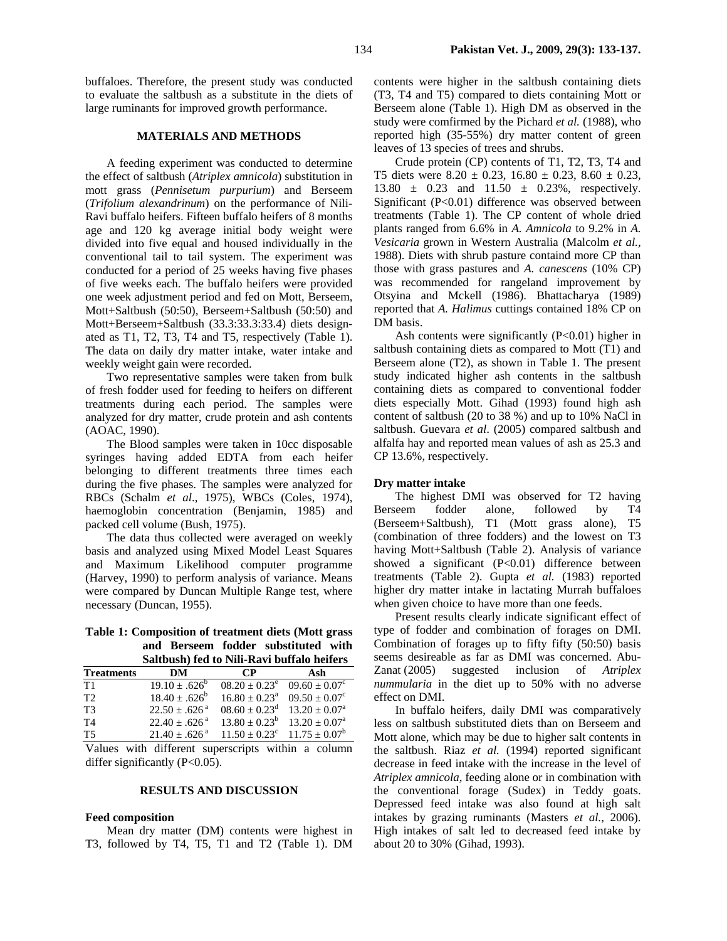buffaloes. Therefore, the present study was conducted to evaluate the saltbush as a substitute in the diets of large ruminants for improved growth performance.

### **MATERIALS AND METHODS**

A feeding experiment was conducted to determine the effect of saltbush (*Atriplex amnicola*) substitution in mott grass (*Pennisetum purpurium*) and Berseem (*Trifolium alexandrinum*) on the performance of Nili-Ravi buffalo heifers. Fifteen buffalo heifers of 8 months age and 120 kg average initial body weight were divided into five equal and housed individually in the conventional tail to tail system. The experiment was conducted for a period of 25 weeks having five phases of five weeks each. The buffalo heifers were provided one week adjustment period and fed on Mott, Berseem, Mott+Saltbush (50:50), Berseem+Saltbush (50:50) and Mott+Berseem+Saltbush (33.3:33.3:33.4) diets designated as T1, T2, T3, T4 and T5, respectively (Table 1). The data on daily dry matter intake, water intake and weekly weight gain were recorded.

Two representative samples were taken from bulk of fresh fodder used for feeding to heifers on different treatments during each period. The samples were analyzed for dry matter, crude protein and ash contents (AOAC, 1990).

The Blood samples were taken in 10cc disposable syringes having added EDTA from each heifer belonging to different treatments three times each during the five phases. The samples were analyzed for RBCs (Schalm *et al*., 1975), WBCs (Coles, 1974), haemoglobin concentration (Benjamin, 1985) and packed cell volume (Bush, 1975).

The data thus collected were averaged on weekly basis and analyzed using Mixed Model Least Squares and Maximum Likelihood computer programme (Harvey, 1990) to perform analysis of variance. Means were compared by Duncan Multiple Range test, where necessary (Duncan, 1955).

### **Table 1: Composition of treatment diets (Mott grass and Berseem fodder substituted with Saltbush) fed to Nili-Ravi buffalo heifers**

|                   | Danoubli) ica to i un ica ei banaro henerb |                        |                        |  |  |  |  |
|-------------------|--------------------------------------------|------------------------|------------------------|--|--|--|--|
| <b>Treatments</b> | DM                                         | CP                     | Ash                    |  |  |  |  |
| Τ1                | $19.10 \pm .626^{\circ}$                   | $08.20 + 0.23^e$       | $09.60 + 0.07^{\circ}$ |  |  |  |  |
| T2                | $18.40 + .626^b$                           | $16.80 + 0.23a$        | $09.50 + 0.07^{\circ}$ |  |  |  |  |
| ፐ3                | $22.50 \pm .626^{\text{a}}$                | $08.60 + 0.23^d$       | $13.20 + 0.07a$        |  |  |  |  |
| T4                | $22.40 + .626$ <sup>a</sup>                | $13.80 + 0.23^b$       | $13.20 + 0.07a$        |  |  |  |  |
| Τ5                | $21.40 + .626^{\text{a}}$                  | $11.50 + 0.23^{\circ}$ | $11.75 + 0.07^b$       |  |  |  |  |

Values with different superscripts within a column differ significantly  $(P<0.05)$ .

### **RESULTS AND DISCUSSION**

#### **Feed composition**

Mean dry matter (DM) contents were highest in T3, followed by T4, T5, T1 and T2 (Table 1). DM contents were higher in the saltbush containing diets (T3, T4 and T5) compared to diets containing Mott or Berseem alone (Table 1). High DM as observed in the study were comfirmed by the Pichard *et al.* (1988), who reported high (35-55%) dry matter content of green leaves of 13 species of trees and shrubs.

Crude protein (CP) contents of T1, T2, T3, T4 and T5 diets were  $8.20 \pm 0.23$ ,  $16.80 \pm 0.23$ ,  $8.60 \pm 0.23$ , 13.80 ± 0.23 and 11.50 ± 0.23%, respectively. Significant (P<0.01) difference was observed between treatments (Table 1). The CP content of whole dried plants ranged from 6.6% in *A. Amnicola* to 9.2% in *A. Vesicaria* grown in Western Australia (Malcolm *et al.,* 1988). Diets with shrub pasture containd more CP than those with grass pastures and *A. canescens* (10% CP) was recommended for rangeland improvement by Otsyina and Mckell (1986). Bhattacharya (1989) reported that *A. Halimus* cuttings contained 18% CP on DM basis.

Ash contents were significantly  $(P<0.01)$  higher in saltbush containing diets as compared to Mott (T1) and Berseem alone (T2), as shown in Table 1. The present study indicated higher ash contents in the saltbush containing diets as compared to conventional fodder diets especially Mott. Gihad (1993) found high ash content of saltbush (20 to 38 %) and up to 10% NaCl in saltbush. Guevara *et al*. (2005) compared saltbush and alfalfa hay and reported mean values of ash as 25.3 and CP 13.6%, respectively.

## **Dry matter intake**

The highest DMI was observed for T2 having Berseem fodder alone, followed by T4 (Berseem+Saltbush), T1 (Mott grass alone), T5 (combination of three fodders) and the lowest on T3 having Mott+Saltbush (Table 2). Analysis of variance showed a significant (P<0.01) difference between treatments (Table 2). Gupta *et al.* (1983) reported higher dry matter intake in lactating Murrah buffaloes when given choice to have more than one feeds.

Present results clearly indicate significant effect of type of fodder and combination of forages on DMI. Combination of forages up to fifty fifty (50:50) basis seems desireable as far as DMI was concerned. Abu-Zanat (2005) suggested inclusion of *Atriplex nummularia* in the diet up to 50% with no adverse effect on DMI.

In buffalo heifers, daily DMI was comparatively less on saltbush substituted diets than on Berseem and Mott alone, which may be due to higher salt contents in the saltbush. Riaz *et al.* (1994) reported significant decrease in feed intake with the increase in the level of *Atriplex amnicola,* feeding alone or in combination with the conventional forage (Sudex) in Teddy goats. Depressed feed intake was also found at high salt intakes by grazing ruminants (Masters *et al.*, 2006). High intakes of salt led to decreased feed intake by about 20 to 30% (Gihad, 1993).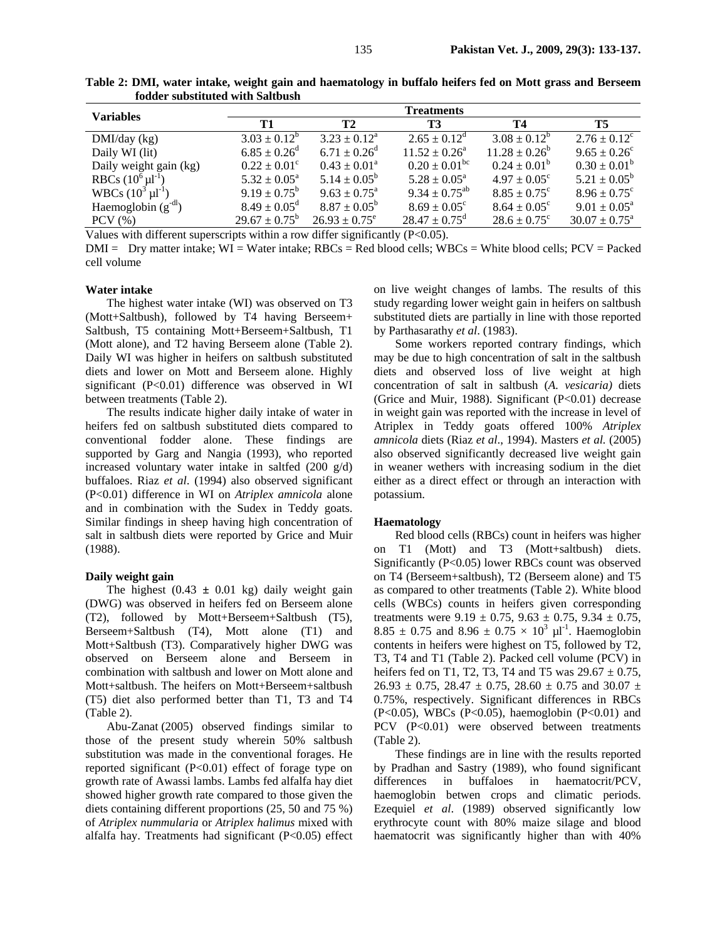| <b>Variables</b>           |                              |                          | <b>Treatments</b>        |                         |                            |
|----------------------------|------------------------------|--------------------------|--------------------------|-------------------------|----------------------------|
|                            | Т1                           | <b>T2</b>                | T3                       | Т4                      | <b>T5</b>                  |
| DMI/day (kg)               | $3.03 \pm 0.12^b$            | $3.23 + 0.12^a$          | $2.65 + 0.12^d$          | $3.08 \pm 0.12^b$       | $2.76 \pm 0.12^{\circ}$    |
| Daily WI (lit)             | $6.85 \pm 0.26$ <sup>d</sup> | $6.71 \pm 0.26^{\rm d}$  | $11.52 \pm 0.26^a$       | $11.28 \pm 0.26^b$      | $9.65 \pm 0.26^{\circ}$    |
| Daily weight gain (kg)     | $0.22 \pm 0.01^{\circ}$      | $0.43 \pm 0.01^{\circ}$  | $0.20 \pm 0.01^{\rm bc}$ | $0.24 \pm 0.01^b$       | $0.30 \pm 0.01^b$          |
| RBCs $(10^6 \mu l^{-1})$   | $5.32 \pm 0.05^{\text{a}}$   | $5.14 \pm 0.05^{\rm b}$  | $5.28 \pm 0.05^{\circ}$  | $4.97 \pm 0.05^{\circ}$ | $5.21 \pm 0.05^{\rm b}$    |
| WBCs $(10^3 \,\mu l^{-1})$ | $9.19 \pm 0.75^{\rm b}$      | $9.63 \pm 0.75^{\circ}$  | $9.34 \pm 0.75^{ab}$     | $8.85 \pm 0.75^{\circ}$ | $8.96 \pm 0.75^{\circ}$    |
| Haemoglobin $(g-dl)$       | $8.49 \pm 0.05^{\rm d}$      | $8.87 \pm 0.05^{\circ}$  | $8.69 \pm 0.05^{\circ}$  | $8.64 \pm 0.05^{\circ}$ | $9.01 \pm 0.05^{\text{a}}$ |
| $PCV$ $(\% )$              | $29.67 \pm 0.75^{\rm b}$     | $26.93 \pm 0.75^{\circ}$ | $28.47 \pm 0.75^{\circ}$ | $28.6 \pm 0.75^{\circ}$ | $30.07 \pm 0.75^{\circ}$   |

**Table 2: DMI, water intake, weight gain and haematology in buffalo heifers fed on Mott grass and Berseem fodder substituted with Saltbush** 

Values with different superscripts within a row differ significantly (P<0.05).

 $DMI = Dy$  matter intake;  $WI = Water$  intake;  $RBCs = Red$  blood cells;  $WBCs = White$  blood cells;  $PCV = Packed$ cell volume

### **Water intake**

The highest water intake (WI) was observed on T3 (Mott+Saltbush), followed by T4 having Berseem+ Saltbush, T5 containing Mott+Berseem+Saltbush, T1 (Mott alone), and T2 having Berseem alone (Table 2). Daily WI was higher in heifers on saltbush substituted diets and lower on Mott and Berseem alone. Highly significant (P<0.01) difference was observed in WI between treatments (Table 2).

The results indicate higher daily intake of water in heifers fed on saltbush substituted diets compared to conventional fodder alone. These findings are supported by Garg and Nangia (1993), who reported increased voluntary water intake in saltfed (200 g/d) buffaloes. Riaz *et al*. (1994) also observed significant (P<0.01) difference in WI on *Atriplex amnicola* alone and in combination with the Sudex in Teddy goats. Similar findings in sheep having high concentration of salt in saltbush diets were reported by Grice and Muir (1988).

### **Daily weight gain**

The highest  $(0.43 \pm 0.01 \text{ kg})$  daily weight gain (DWG) was observed in heifers fed on Berseem alone (T2), followed by Mott+Berseem+Saltbush (T5), Berseem+Saltbush (T4), Mott alone (T1) and Mott+Saltbush (T3). Comparatively higher DWG was observed on Berseem alone and Berseem in combination with saltbush and lower on Mott alone and Mott+saltbush. The heifers on Mott+Berseem+saltbush (T5) diet also performed better than T1, T3 and T4 (Table 2).

Abu-Zanat (2005) observed findings similar to those of the present study wherein 50% saltbush substitution was made in the conventional forages. He reported significant (P<0.01) effect of forage type on growth rate of Awassi lambs. Lambs fed alfalfa hay diet showed higher growth rate compared to those given the diets containing different proportions (25, 50 and 75 %) of *Atriplex nummularia* or *Atriplex halimus* mixed with alfalfa hay. Treatments had significant (P<0.05) effect on live weight changes of lambs. The results of this study regarding lower weight gain in heifers on saltbush substituted diets are partially in line with those reported by Parthasarathy *et al*. (1983).

Some workers reported contrary findings, which may be due to high concentration of salt in the saltbush diets and observed loss of live weight at high concentration of salt in saltbush (*A. vesicaria)* diets (Grice and Muir, 1988). Significant (P<0.01) decrease in weight gain was reported with the increase in level of Atriplex in Teddy goats offered 100% *Atriplex amnicola* diets (Riaz *et al*., 1994). Masters *et al.* (2005) also observed significantly decreased live weight gain in weaner wethers with increasing sodium in the diet either as a direct effect or through an interaction with potassium.

### **Haematology**

Red blood cells (RBCs) count in heifers was higher on T1 (Mott) and T3 (Mott+saltbush) diets. Significantly (P<0.05) lower RBCs count was observed on T4 (Berseem+saltbush), T2 (Berseem alone) and T5 as compared to other treatments (Table 2). White blood cells (WBCs) counts in heifers given corresponding treatments were  $9.19 \pm 0.75$ ,  $9.63 \pm 0.75$ ,  $9.34 \pm 0.75$ , 8.85  $\pm$  0.75 and 8.96  $\pm$  0.75  $\times$  10<sup>3</sup> µl<sup>-1</sup>. Haemoglobin contents in heifers were highest on T5, followed by T2, T3, T4 and T1 (Table 2). Packed cell volume (PCV) in heifers fed on T1, T2, T3, T4 and T5 was  $29.67 \pm 0.75$ ,  $26.93 \pm 0.75$ ,  $28.47 \pm 0.75$ ,  $28.60 \pm 0.75$  and  $30.07 \pm 0.75$ 0.75%, respectively. Significant differences in RBCs (P<0.05), WBCs (P<0.05), haemoglobin (P<0.01) and PCV (P<0.01) were observed between treatments (Table 2).

These findings are in line with the results reported by Pradhan and Sastry (1989), who found significant differences in buffaloes in haematocrit/PCV, haemoglobin betwen crops and climatic periods. Ezequiel *et al*. (1989) observed significantly low erythrocyte count with 80% maize silage and blood haematocrit was significantly higher than with 40%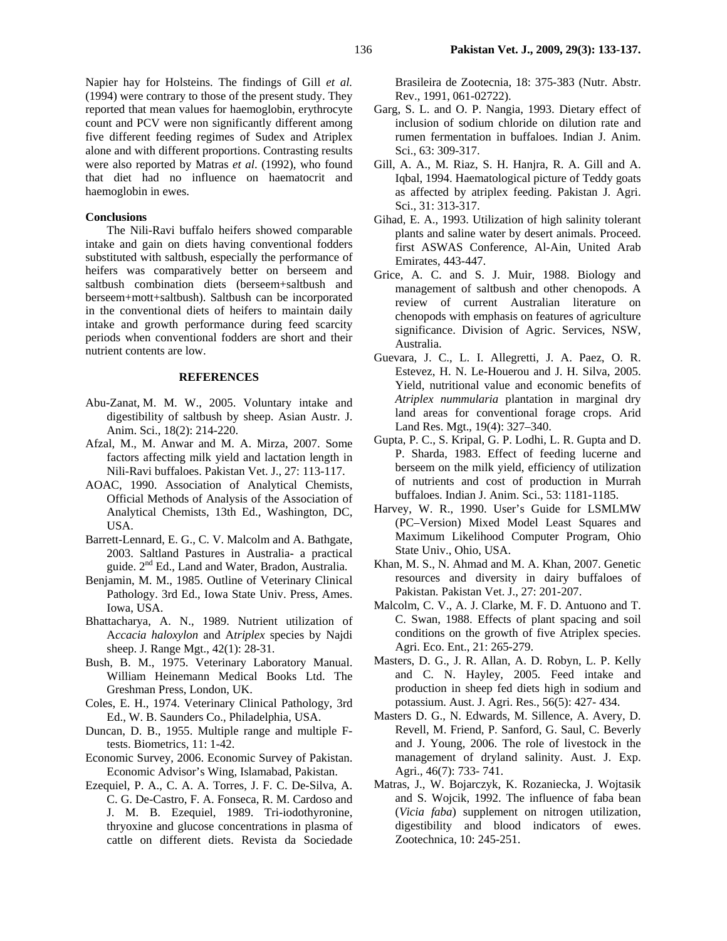Napier hay for Holsteins. The findings of Gill *et al.* (1994) were contrary to those of the present study. They reported that mean values for haemoglobin, erythrocyte count and PCV were non significantly different among five different feeding regimes of Sudex and Atriplex alone and with different proportions. Contrasting results were also reported by Matras *et al*. (1992), who found that diet had no influence on haematocrit and haemoglobin in ewes.

### **Conclusions**

The Nili-Ravi buffalo heifers showed comparable intake and gain on diets having conventional fodders substituted with saltbush, especially the performance of heifers was comparatively better on berseem and saltbush combination diets (berseem+saltbush and berseem+mott+saltbush). Saltbush can be incorporated in the conventional diets of heifers to maintain daily intake and growth performance during feed scarcity periods when conventional fodders are short and their nutrient contents are low.

### **REFERENCES**

- Abu-Zanat, M. M. W., 2005. Voluntary intake and digestibility of saltbush by sheep. Asian Austr. J. Anim. Sci., 18(2): 214-220.
- Afzal, M., M. Anwar and M. A. Mirza, 2007. Some factors affecting milk yield and lactation length in Nili-Ravi buffaloes. Pakistan Vet. J., 27: 113-117.
- AOAC, 1990. Association of Analytical Chemists, Official Methods of Analysis of the Association of Analytical Chemists, 13th Ed., Washington, DC, USA.
- Barrett-Lennard, E. G., C. V. Malcolm and A. Bathgate, 2003. Saltland Pastures in Australia- a practical guide. 2<sup>nd</sup> Ed., Land and Water, Bradon, Australia.
- Benjamin, M. M., 1985. Outline of Veterinary Clinical Pathology. 3rd Ed., Iowa State Univ. Press, Ames. Iowa, USA.
- Bhattacharya, A. N., 1989. Nutrient utilization of A*ccacia haloxylon* and A*triplex* species by Najdi sheep. J. Range Mgt., 42(1): 28-31.
- Bush, B. M., 1975. Veterinary Laboratory Manual. William Heinemann Medical Books Ltd. The Greshman Press, London, UK.
- Coles, E. H., 1974. Veterinary Clinical Pathology, 3rd Ed., W. B. Saunders Co., Philadelphia, USA.
- Duncan, D. B., 1955. Multiple range and multiple Ftests. Biometrics, 11: 1-42.
- Economic Survey, 2006. Economic Survey of Pakistan. Economic Advisor's Wing, Islamabad, Pakistan.
- Ezequiel, P. A., C. A. A. Torres, J. F. C. De-Silva, A. C. G. De-Castro, F. A. Fonseca, R. M. Cardoso and J. M. B. Ezequiel, 1989. Tri-iodothyronine, thryoxine and glucose concentrations in plasma of cattle on different diets. Revista da Sociedade

Brasileira de Zootecnia, 18: 375-383 (Nutr. Abstr. Rev., 1991, 061-02722).

- Garg, S. L. and O. P. Nangia, 1993. Dietary effect of inclusion of sodium chloride on dilution rate and rumen fermentation in buffaloes. Indian J. Anim. Sci., 63: 309-317.
- Gill, A. A., M. Riaz, S. H. Hanjra, R. A. Gill and A. Iqbal, 1994. Haematological picture of Teddy goats as affected by atriplex feeding. Pakistan J. Agri. Sci., 31: 313-317.
- Gihad, E. A., 1993. Utilization of high salinity tolerant plants and saline water by desert animals. Proceed. first ASWAS Conference, Al-Ain, United Arab Emirates, 443-447.
- Grice, A. C. and S. J. Muir, 1988. Biology and management of saltbush and other chenopods. A review of current Australian literature on chenopods with emphasis on features of agriculture significance. Division of Agric. Services, NSW, Australia.
- Guevara, J. C., L. I. Allegretti, J. A. Paez, O. R. Estevez, H. N. Le-Houerou and J. H. Silva, 2005. Yield, nutritional value and economic benefits of *Atriplex nummularia* plantation in marginal dry land areas for conventional forage crops. Arid Land Res. Mgt., 19(4): 327–340.
- Gupta, P. C., S. Kripal, G. P. Lodhi, L. R. Gupta and D. P. Sharda, 1983. Effect of feeding lucerne and berseem on the milk yield, efficiency of utilization of nutrients and cost of production in Murrah buffaloes. Indian J. Anim. Sci., 53: 1181-1185.
- Harvey, W. R., 1990. User's Guide for LSMLMW (PC–Version) Mixed Model Least Squares and Maximum Likelihood Computer Program, Ohio State Univ., Ohio, USA.
- Khan, M. S., N. Ahmad and M. A. Khan, 2007. Genetic resources and diversity in dairy buffaloes of Pakistan. Pakistan Vet. J., 27: 201-207.
- Malcolm, C. V., A. J. Clarke, M. F. D. Antuono and T. C. Swan, 1988. Effects of plant spacing and soil conditions on the growth of five Atriplex species. Agri. Eco. Ent., 21: 265-279.
- Masters, D. G., J. R. Allan, A. D. Robyn, L. P. Kelly and C. N. Hayley, 2005. Feed intake and production in sheep fed diets high in sodium and potassium. Aust. J. Agri. Res., 56(5): 427- 434.
- Masters D. G., N. Edwards, M. Sillence, A. Avery, D. Revell, M. Friend, P. Sanford, G. Saul, C. Beverly and J. Young, 2006. The role of livestock in the management of dryland salinity. Aust. J. Exp. Agri., 46(7): 733- 741.
- Matras, J., W. Bojarczyk, K. Rozaniecka, J. Wojtasik and S. Wojcik, 1992. The influence of faba bean (*Vicia faba*) supplement on nitrogen utilization, digestibility and blood indicators of ewes. Zootechnica, 10: 245-251.